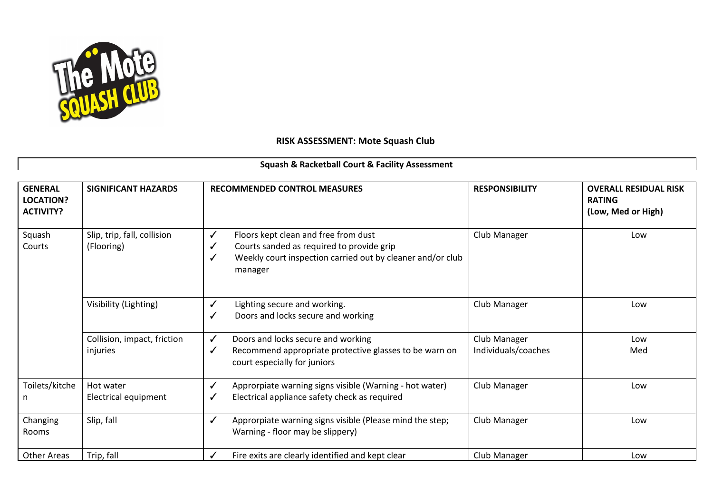

## **RISK ASSESSMENT: Mote Squash Club**

## **Squash & Racketball Court & Facility Assessment**

| <b>GENERAL</b><br><b>LOCATION?</b><br><b>ACTIVITY?</b> | <b>SIGNIFICANT HAZARDS</b>                | <b>RECOMMENDED CONTROL MEASURES</b>                                                                                                                                  | <b>RESPONSIBILITY</b>               | <b>OVERALL RESIDUAL RISK</b><br><b>RATING</b><br>(Low, Med or High) |
|--------------------------------------------------------|-------------------------------------------|----------------------------------------------------------------------------------------------------------------------------------------------------------------------|-------------------------------------|---------------------------------------------------------------------|
| Squash<br>Courts                                       | Slip, trip, fall, collision<br>(Flooring) | Floors kept clean and free from dust<br>✓<br>Courts sanded as required to provide grip<br>✓<br>Weekly court inspection carried out by cleaner and/or club<br>manager | Club Manager                        | Low                                                                 |
|                                                        | Visibility (Lighting)                     | Lighting secure and working.<br>✓<br>Doors and locks secure and working<br>√                                                                                         | Club Manager                        | Low                                                                 |
|                                                        | Collision, impact, friction<br>injuries   | Doors and locks secure and working<br>$\checkmark$<br>Recommend appropriate protective glasses to be warn on<br>✓<br>court especially for juniors                    | Club Manager<br>Individuals/coaches | Low<br>Med                                                          |
| Toilets/kitche<br>n                                    | Hot water<br>Electrical equipment         | $\checkmark$<br>Approrpiate warning signs visible (Warning - hot water)<br>Electrical appliance safety check as required<br>✓                                        | Club Manager                        | Low                                                                 |
| Changing<br>Rooms                                      | Slip, fall                                | Approrpiate warning signs visible (Please mind the step;<br>$\checkmark$<br>Warning - floor may be slippery)                                                         | Club Manager                        | Low                                                                 |
| <b>Other Areas</b>                                     | Trip, fall                                | Fire exits are clearly identified and kept clear<br>✓                                                                                                                | Club Manager                        | Low                                                                 |